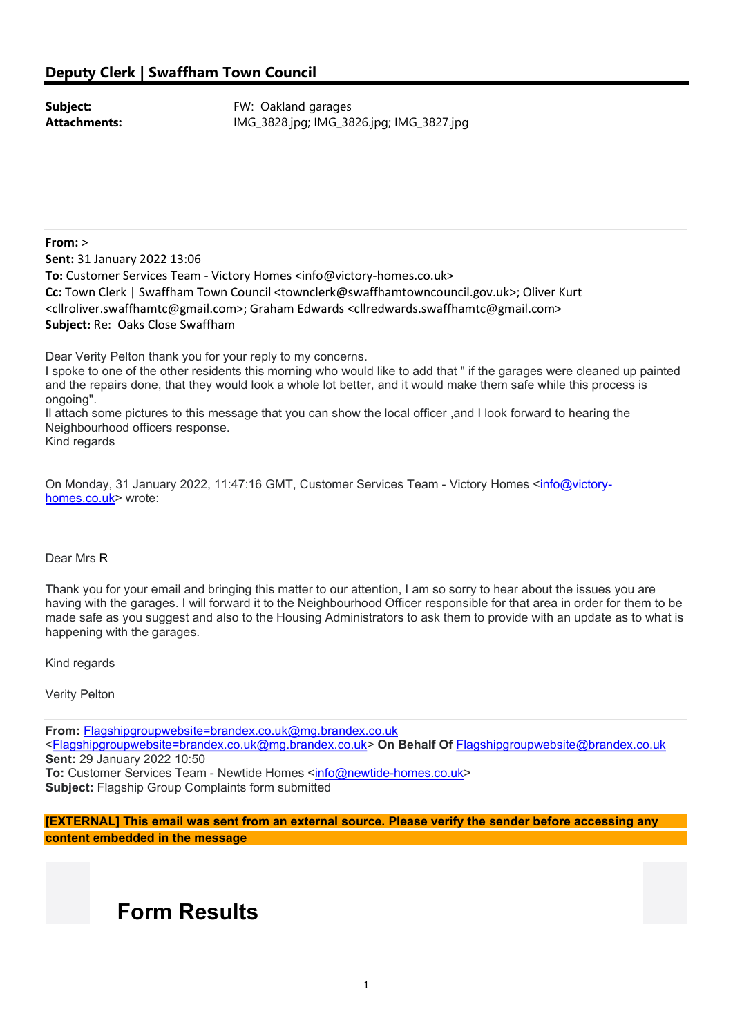Subject: **Subject: FW: Oakland garages Attachments:** IMG 3828.jpg; IMG 3826.jpg; IMG 3827.jpg

From: > Sent: 31 January 2022 13:06 To: Customer Services Team - Victory Homes <info@victory-homes.co.uk> Cc: Town Clerk | Swaffham Town Council <townclerk@swaffhamtowncouncil.gov.uk>; Oliver Kurt <cllroliver.swaffhamtc@gmail.com>; Graham Edwards <cllredwards.swaffhamtc@gmail.com> Subject: Re: Oaks Close Swaffham

Dear Verity Pelton thank you for your reply to my concerns.

I spoke to one of the other residents this morning who would like to add that " if the garages were cleaned up painted and the repairs done, that they would look a whole lot better, and it would make them safe while this process is ongoing".

Il attach some pictures to this message that you can show the local officer ,and I look forward to hearing the Neighbourhood officers response.

Kind regards

On Monday, 31 January 2022, 11:47:16 GMT, Customer Services Team - Victory Homes <info@victoryhomes.co.uk> wrote:

#### Dear Mrs R

Thank you for your email and bringing this matter to our attention, I am so sorry to hear about the issues you are having with the garages. I will forward it to the Neighbourhood Officer responsible for that area in order for them to be made safe as you suggest and also to the Housing Administrators to ask them to provide with an update as to what is happening with the garages.

Kind regards

Verity Pelton

From: Flagshipgroupwebsite=brandex.co.uk@mg.brandex.co.uk <Flagshipgroupwebsite=brandex.co.uk@mg.brandex.co.uk> On Behalf Of Flagshipgroupwebsite@brandex.co.uk Sent: 29 January 2022 10:50 To: Customer Services Team - Newtide Homes <info@newtide-homes.co.uk> Subject: Flagship Group Complaints form submitted

[EXTERNAL] This email was sent from an external source. Please verify the sender before accessing any content embedded in the message

## Form Results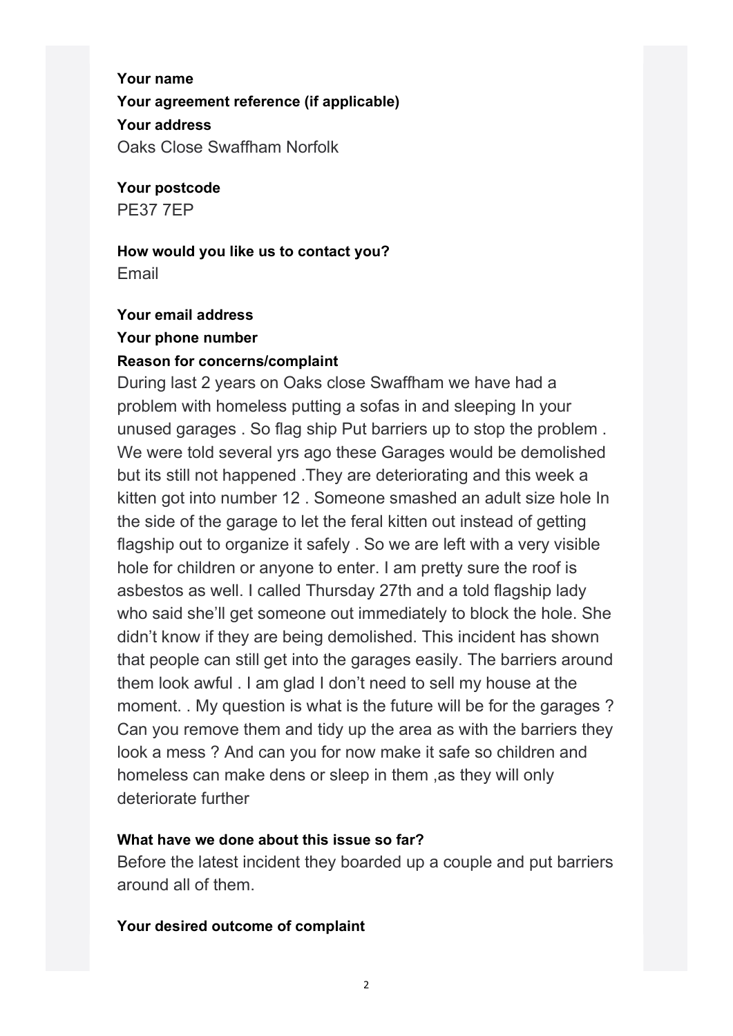Your name Your agreement reference (if applicable) Your address Oaks Close Swaffham Norfolk

Your postcode PE37 7EP

# How would you like us to contact you?

Email

#### Your email address Your phone number

### Reason for concerns/complaint

During last 2 years on Oaks close Swaffham we have had a problem with homeless putting a sofas in and sleeping In your unused garages . So flag ship Put barriers up to stop the problem . We were told several yrs ago these Garages would be demolished but its still not happened .They are deteriorating and this week a kitten got into number 12 . Someone smashed an adult size hole In the side of the garage to let the feral kitten out instead of getting flagship out to organize it safely . So we are left with a very visible hole for children or anyone to enter. I am pretty sure the roof is asbestos as well. I called Thursday 27th and a told flagship lady who said she'll get someone out immediately to block the hole. She didn't know if they are being demolished. This incident has shown that people can still get into the garages easily. The barriers around them look awful . I am glad I don't need to sell my house at the moment. . My question is what is the future will be for the garages ? Can you remove them and tidy up the area as with the barriers they look a mess ? And can you for now make it safe so children and homeless can make dens or sleep in them ,as they will only deteriorate further

### What have we done about this issue so far?

Before the latest incident they boarded up a couple and put barriers around all of them.

### Your desired outcome of complaint